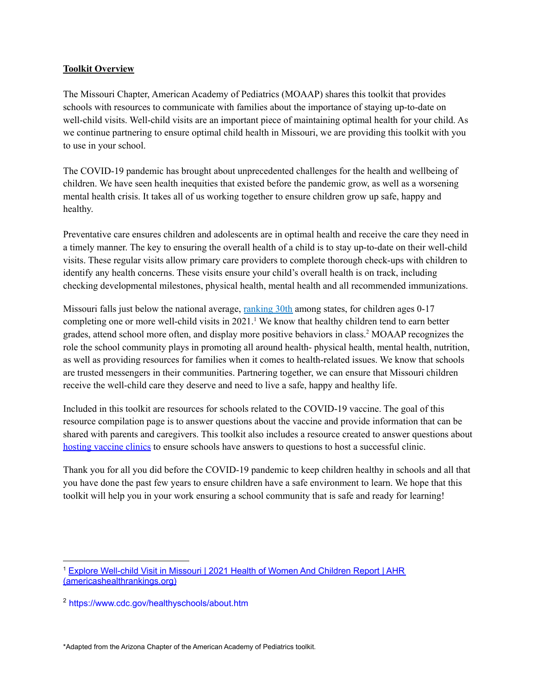#### **Toolkit Overview**

The Missouri Chapter, American Academy of Pediatrics (MOAAP) shares this toolkit that provides schools with resources to communicate with families about the importance of staying up-to-date on well-child visits. Well-child visits are an important piece of maintaining optimal health for your child. As we continue partnering to ensure optimal child health in Missouri, we are providing this toolkit with you to use in your school.

The COVID-19 pandemic has brought about unprecedented challenges for the health and wellbeing of children. We have seen health inequities that existed before the pandemic grow, as well as a worsening mental health crisis. It takes all of us working together to ensure children grow up safe, happy and healthy.

Preventative care ensures children and adolescents are in optimal health and receive the care they need in a timely manner. The key to ensuring the overall health of a child is to stay up-to-date on their well-child visits. These regular visits allow primary care providers to complete thorough check-ups with children to identify any health concerns. These visits ensure your child's overall health is on track, including checking developmental milestones, physical health, mental health and all recommended immunizations.

Missouri falls just below the national average, [ranking](https://www.americashealthrankings.org/explore/health-of-women-and-children/measure/wellchild_visit_0to17/state/MO) 30th among states, for children ages 0-17 completing one or more well-child visits in 2021. <sup>1</sup> We know that healthy children tend to earn better grades, attend school more often, and display more positive behaviors in class. <sup>2</sup> MOAAP recognizes the role the school community plays in promoting all around health- physical health, mental health, nutrition, as well as providing resources for families when it comes to health-related issues. We know that schools are trusted messengers in their communities. Partnering together, we can ensure that Missouri children receive the well-child care they deserve and need to live a safe, happy and healthy life.

Included in this toolkit are resources for schools related to the COVID-19 vaccine. The goal of this resource compilation page is to answer questions about the vaccine and provide information that can be shared with parents and caregivers. This toolkit also includes a resource created to answer questions about hosting vaccine clinics to ensure schools have answers to questions to host a successful clinic.

Thank you for all you did before the COVID-19 pandemic to keep children healthy in schools and all that you have done the past few years to ensure children have a safe environment to learn. We hope that this toolkit will help you in your work ensuring a school community that is safe and ready for learning!

\*Adapted from the Arizona Chapter of the American Academy of Pediatrics toolkit.

<sup>1</sup> Explore [Well-child](https://www.americashealthrankings.org/explore/health-of-women-and-children/measure/wellchild_visit_0to17/state/MO) Visit in Missouri | 2021 Health of Women And Children Report | AHR [\(americashealthrankings.org\)](https://www.americashealthrankings.org/explore/health-of-women-and-children/measure/wellchild_visit_0to17/state/MO)

<sup>2</sup> https://www.cdc.gov/healthyschools/about.htm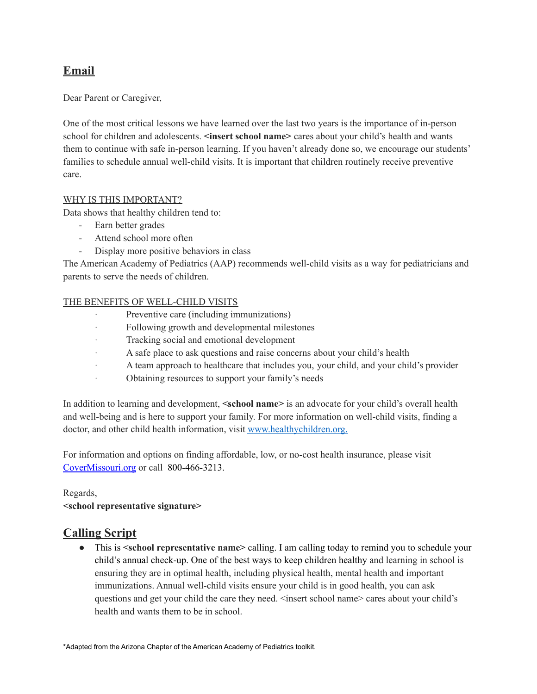# **Email**

Dear Parent or Caregiver,

One of the most critical lessons we have learned over the last two years is the importance of in-person school for children and adolescents. **<insert school name>** cares about your child's health and wants them to continue with safe in-person learning. If you haven't already done so, we encourage our students' families to schedule annual well-child visits. It is important that children routinely receive preventive care.

### WHY IS THIS IMPORTANT?

Data shows that healthy children tend to:

- Earn better grades
- Attend school more often
- Display more positive behaviors in class

The American Academy of Pediatrics (AAP) recommends well-child visits as a way for pediatricians and parents to serve the needs of children.

### THE BENEFITS OF WELL-CHILD VISITS

- Preventive care (including immunizations)
- · Following growth and developmental milestones
- · Tracking social and emotional development
- · A safe place to ask questions and raise concerns about your child's health
- · A team approach to healthcare that includes you, your child, and your child's provider
- · Obtaining resources to support your family's needs

In addition to learning and development, **<school name>** is an advocate for your child's overall health and well-being and is here to support your family. For more information on well-child visits, finding a doctor, and other child health information, visit [www.healthychildren.org.](https://www.healthychildren.org/English/tips-tools/find-pediatrician/Pages/Pediatrician-Referral-Service.aspx)

For information and options on finding affordable, low, or no-cost health insurance, please visit [CoverMissouri.org](https://covermissouri.org/find-help/call-the-cover-missouri-call-center/) or call 800-466-3213.

## Regards,

**<school representative signature>**

## **Calling Script**

● This is **<school representative name>** calling. I am calling today to remind you to schedule your child's annual check-up. One of the best ways to keep children healthy and learning in school is ensuring they are in optimal health, including physical health, mental health and important immunizations. Annual well-child visits ensure your child is in good health, you can ask questions and get your child the care they need.  $\leq$  insert school name> cares about your child's health and wants them to be in school.